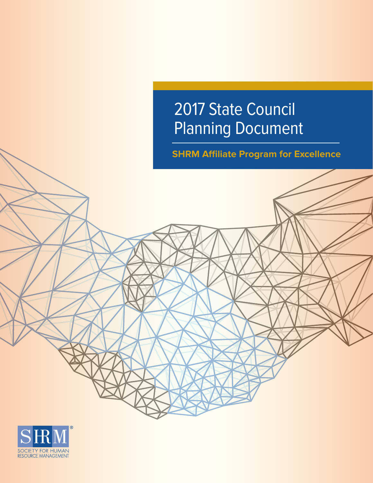# 2017 State Council Planning Document

**SHRM Affiliate Program for Excellence**



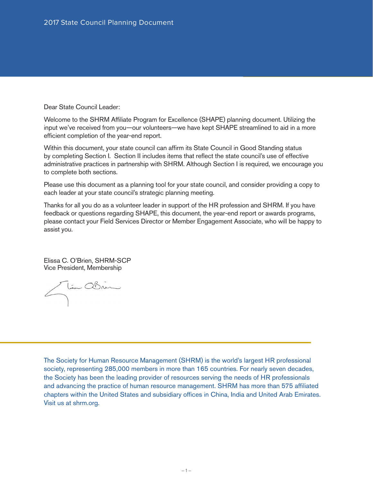Dear State Council Leader:

Welcome to the SHRM Affiliate Program for Excellence (SHAPE) planning document. Utilizing the input we've received from you—our volunteers—we have kept SHAPE streamlined to aid in a more efficient completion of the year-end report.

Within this document, your state council can affirm its State Council in Good Standing status by completing Section I. Section II includes items that reflect the state council's use of effective administrative practices in partnership with SHRM. Although Section I is required, we encourage you to complete both sections.

Please use this document as a planning tool for your state council, and consider providing a copy to each leader at your state council's strategic planning meeting.

Thanks for all you do as a volunteer leader in support of the HR profession and SHRM. If you have feedback or questions regarding SHAPE, this document, the year-end report or awards programs, please contact your Field Services Director or Member Engagement Associate, who will be happy to assist you.

Elissa C. O'Brien, SHRM-SCP Vice President, Membership

Stim Obrin

The Society for Human Resource Management (SHRM) is the world's largest HR professional society, representing 285,000 members in more than 165 countries. For nearly seven decades, the Society has been the leading provider of resources serving the needs of HR professionals and advancing the practice of human resource management. SHRM has more than 575 affiliated chapters within the United States and subsidiary offices in China, India and United Arab Emirates. Visit us at shrm.org.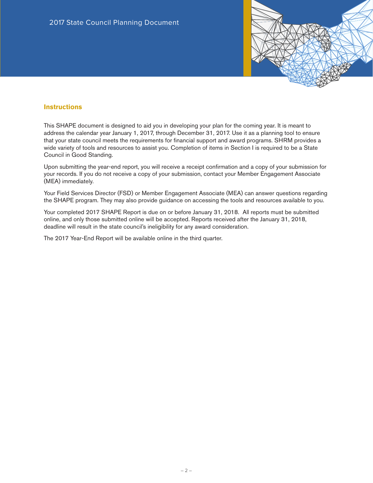

#### **Instructions**

This SHAPE document is designed to aid you in developing your plan for the coming year. It is meant to address the calendar year January 1, 2017, through December 31, 2017. Use it as a planning tool to ensure that your state council meets the requirements for financial support and award programs. SHRM provides a wide variety of tools and resources to assist you. Completion of items in Section I is required to be a State Council in Good Standing.

Upon submitting the year-end report, you will receive a receipt confirmation and a copy of your submission for your records. If you do not receive a copy of your submission, contact your Member Engagement Associate (MEA) immediately.

Your Field Services Director (FSD) or Member Engagement Associate (MEA) can answer questions regarding the SHAPE program. They may also provide guidance on accessing the tools and resources available to you.

Your completed 2017 SHAPE Report is due on or before January 31, 2018. All reports must be submitted online, and only those submitted online will be accepted. Reports received after the January 31, 2018, deadline will result in the state council's ineligibility for any award consideration.

The 2017 Year-End Report will be available online in the third quarter.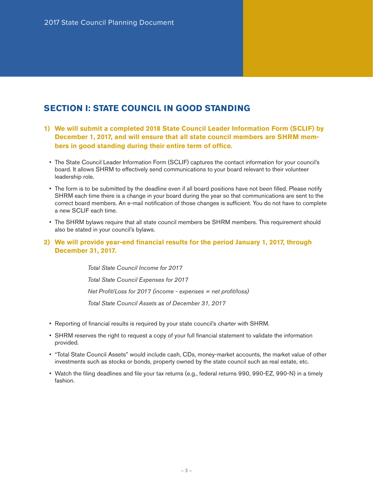## **SECTION I: STATE COUNCIL IN GOOD STANDING**

- **1) We will submit a completed 2018 State Council Leader Information Form (SCLIF) by December 1, 2017, and will ensure that all state council members are SHRM members in good standing during their entire term of office.**
	- The State Council Leader Information Form (SCLIF) captures the contact information for your council's board. It allows SHRM to effectively send communications to your board relevant to their volunteer leadership role.
	- The form is to be submitted by the deadline even if all board positions have not been filled. Please notify SHRM each time there is a change in your board during the year so that communications are sent to the correct board members. An e-mail notification of those changes is sufficient. You do not have to complete a new SCLIF each time.
	- The SHRM bylaws require that all state council members be SHRM members. This requirement should also be stated in your council's bylaws.
- **2) We will provide year-end financial results for the period January 1, 2017, through December 31, 2017.**

*Total State Council Income for 2017 Total State Council Expenses for 2017 Net Profit/Loss for 2017 (income - expenses = net profit/loss) Total State Council Assets as of December 31, 2017*

- Reporting of financial results is required by your state council's charter with SHRM.
- SHRM reserves the right to request a copy of your full financial statement to validate the information provided.
- "Total State Council Assets" would include cash, CDs, money-market accounts, the market value of other investments such as stocks or bonds, property owned by the state council such as real estate, etc.
- Watch the filing deadlines and file your tax returns (e.g., federal returns 990, 990-EZ, 990-N) in a timely fashion.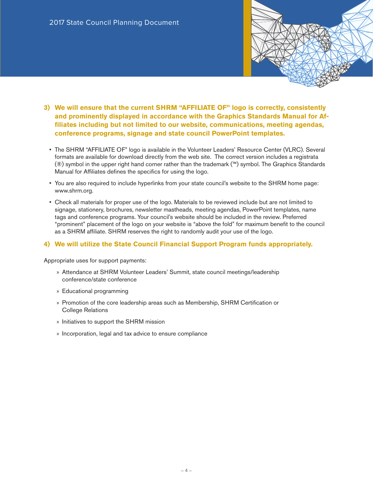- **3) We will ensure that the current SHRM "AFFILIATE OF" logo is correctly, consistently and prominently displayed in accordance with the Graphics Standards Manual for Affiliates including but not limited to our website, communications, meeting agendas, conference programs, signage and state council PowerPoint templates.** 
	- The SHRM "AFFILIATE OF" logo is available in the Volunteer Leaders' Resource Center (VLRC). Several formats are available for download directly from the web site. The correct version includes a registrata (®) symbol in the upper right hand corner rather than the trademark (™) symbol. The Graphics Standards Manual for Affiliates defines the specifics for using the logo.
	- You are also required to include hyperlinks from your state council's website to the SHRM home page: www.shrm.org.
	- Check all materials for proper use of the logo. Materials to be reviewed include but are not limited to signage, stationery, brochures, newsletter mastheads, meeting agendas, PowerPoint templates, name tags and conference programs. Your council's website should be included in the review. Preferred "prominent" placement of the logo on your website is "above the fold" for maximum benefit to the council as a SHRM affiliate. SHRM reserves the right to randomly audit your use of the logo.

#### **4) We will utilize the State Council Financial Support Program funds appropriately.**

Appropriate uses for support payments:

- » Attendance at SHRM Volunteer Leaders' Summit, state council meetings/leadership conference/state conference
- » Educational programming
- » Promotion of the core leadership areas such as Membership, SHRM Certification or College Relations
- » Initiatives to support the SHRM mission
- » Incorporation, legal and tax advice to ensure compliance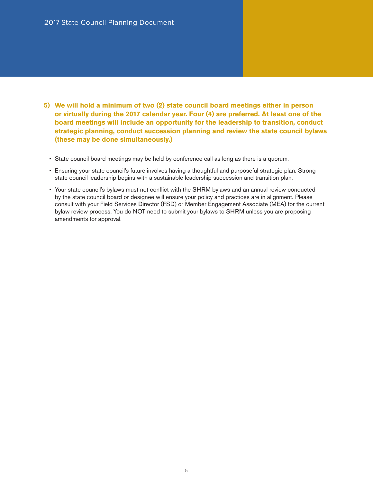- **5) We will hold a minimum of two (2) state council board meetings either in person or virtually during the 2017 calendar year. Four (4) are preferred. At least one of the board meetings will include an opportunity for the leadership to transition, conduct strategic planning, conduct succession planning and review the state council bylaws (these may be done simultaneously.)**
	- State council board meetings may be held by conference call as long as there is a quorum.
	- Ensuring your state council's future involves having a thoughtful and purposeful strategic plan. Strong state council leadership begins with a sustainable leadership succession and transition plan.
	- Your state council's bylaws must not conflict with the SHRM bylaws and an annual review conducted by the state council board or designee will ensure your policy and practices are in alignment. Please consult with your Field Services Director (FSD) or Member Engagement Associate (MEA) for the current bylaw review process. You do NOT need to submit your bylaws to SHRM unless you are proposing amendments for approval.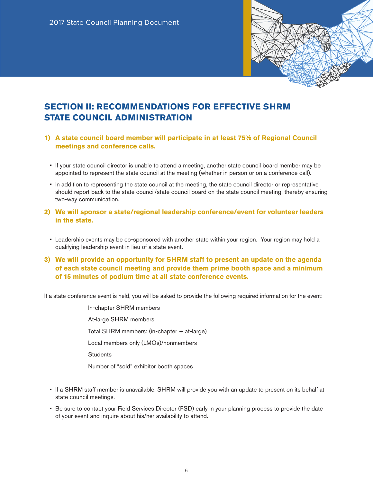

# **SECTION II: RECOMMENDATIONS FOR EFFECTIVE SHRM STATE COUNCIL ADMINISTRATION**

- **1) A state council board member will participate in at least 75% of Regional Council meetings and conference calls.**
	- If your state council director is unable to attend a meeting, another state council board member may be appointed to represent the state council at the meeting (whether in person or on a conference call).
	- In addition to representing the state council at the meeting, the state council director or representative should report back to the state council/state council board on the state council meeting, thereby ensuring two-way communication.
- **2) We will sponsor a state/regional leadership conference/event for volunteer leaders in the state.** 
	- Leadership events may be co-sponsored with another state within your region. Your region may hold a qualifying leadership event in lieu of a state event.
- **3) We will provide an opportunity for SHRM staff to present an update on the agenda of each state council meeting and provide them prime booth space and a minimum of 15 minutes of podium time at all state conference events.**

If a state conference event is held, you will be asked to provide the following required information for the event:

 In-chapter SHRM members At-large SHRM members Total SHRM members: (in-chapter + at-large) Local members only (LMOs)/nonmembers **Students** Number of "sold" exhibitor booth spaces

- If a SHRM staff member is unavailable, SHRM will provide you with an update to present on its behalf at state council meetings.
- Be sure to contact your Field Services Director (FSD) early in your planning process to provide the date of your event and inquire about his/her availability to attend.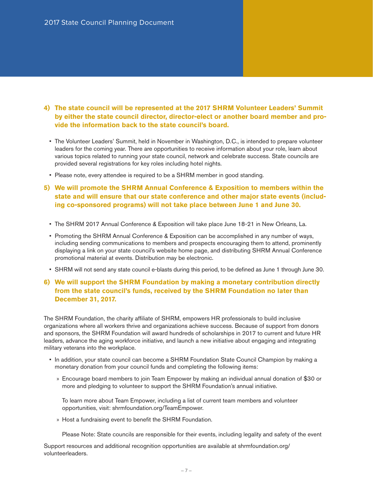- **4) The state council will be represented at the 2017 SHRM Volunteer Leaders' Summit by either the state council director, director-elect or another board member and provide the information back to the state council's board.** 
	- The Volunteer Leaders' Summit, held in November in Washington, D.C., is intended to prepare volunteer leaders for the coming year. There are opportunities to receive information about your role, learn about various topics related to running your state council, network and celebrate success. State councils are provided several registrations for key roles including hotel nights.
	- Please note, every attendee is required to be a SHRM member in good standing.
- **5) We will promote the SHRM Annual Conference & Exposition to members within the state and will ensure that our state conference and other major state events (including co-sponsored programs) will not take place between June 1 and June 30.**
	- The SHRM 2017 Annual Conference & Exposition will take place June 18-21 in New Orleans, La.
	- Promoting the SHRM Annual Conference & Exposition can be accomplished in any number of ways, including sending communications to members and prospects encouraging them to attend, prominently displaying a link on your state council's website home page, and distributing SHRM Annual Conference promotional material at events. Distribution may be electronic.
	- SHRM will not send any state council e-blasts during this period, to be defined as June 1 through June 30.

## **6) We will support the SHRM Foundation by making a monetary contribution directly from the state council's funds, received by the SHRM Foundation no later than December 31, 2017.**

The SHRM Foundation, the charity affiliate of SHRM, empowers HR professionals to build inclusive organizations where all workers thrive and organizations achieve success. Because of support from donors and sponsors, the SHRM Foundation will award hundreds of scholarships in 2017 to current and future HR leaders, advance the aging workforce initiative, and launch a new initiative about engaging and integrating military veterans into the workplace.

- In addition, your state council can become a SHRM Foundation State Council Champion by making a monetary donation from your council funds and completing the following items:
	- » Encourage board members to join Team Empower by making an individual annual donation of \$30 or more and pledging to volunteer to support the SHRM Foundation's annual initiative.

To learn more about Team Empower, including a list of current team members and volunteer opportunities, visit: shrmfoundation.org/TeamEmpower.

» Host a fundraising event to benefit the SHRM Foundation.

Please Note: State councils are responsible for their events, including legality and safety of the event

Support resources and additional recognition opportunities are available at shrmfoundation.org/ volunteerleaders.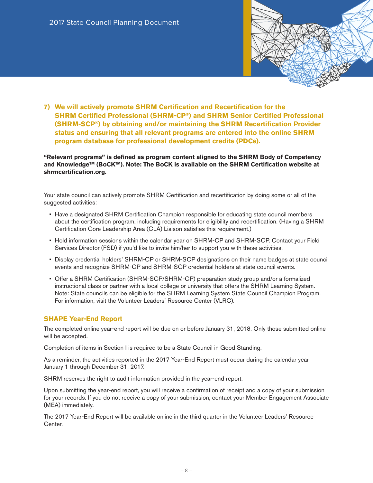

**7) We will actively promote SHRM Certification and Recertification for the SHRM Certified Professional (SHRM-CP®) and SHRM Senior Certified Professional (SHRM-SCP®) by obtaining and/or maintaining the SHRM Recertification Provider status and ensuring that all relevant programs are entered into the online SHRM program database for professional development credits (PDCs).** 

**"Relevant programs" is defined as program content aligned to the SHRM Body of Competency**  and Knowledge<sup>™</sup> (BoCK<sup>™</sup>). Note: The BoCK is available on the SHRM Certification website at **shrmcertification.org.**

Your state council can actively promote SHRM Certification and recertification by doing some or all of the suggested activities:

- Have a designated SHRM Certification Champion responsible for educating state council members about the certification program, including requirements for eligibility and recertification. (Having a SHRM Certification Core Leadership Area (CLA) Liaison satisfies this requirement.)
- Hold information sessions within the calendar year on SHRM-CP and SHRM-SCP. Contact your Field Services Director (FSD) if you'd like to invite him/her to support you with these activities.
- Display credential holders' SHRM-CP or SHRM-SCP designations on their name badges at state council events and recognize SHRM-CP and SHRM-SCP credential holders at state council events.
- Offer a SHRM Certification (SHRM-SCP/SHRM-CP) preparation study group and/or a formalized instructional class or partner with a local college or university that offers the SHRM Learning System. Note: State councils can be eligible for the SHRM Learning System State Council Champion Program. For information, visit the Volunteer Leaders' Resource Center (VLRC).

### **SHAPE Year-End Report**

The completed online year-end report will be due on or before January 31, 2018. Only those submitted online will be accepted.

Completion of items in Section I is required to be a State Council in Good Standing.

As a reminder, the activities reported in the 2017 Year-End Report must occur during the calendar year January 1 through December 31, 2017.

SHRM reserves the right to audit information provided in the year-end report.

Upon submitting the year-end report, you will receive a confirmation of receipt and a copy of your submission for your records. If you do not receive a copy of your submission, contact your Member Engagement Associate (MEA) immediately.

The 2017 Year-End Report will be available online in the third quarter in the Volunteer Leaders' Resource Center.